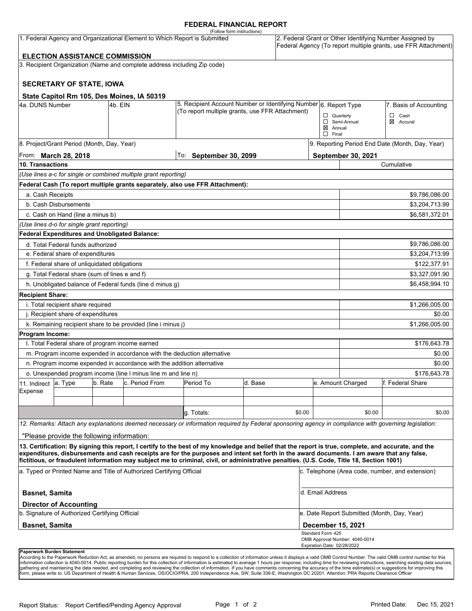#### **FEDERAL FINANCIAL REPORT**

|                                                                                                                                                                                                                   |                                                      |         |                                                                          | (Follow form instructions)                                                                                                                                                                                                                                                                         |                        |                        |                                                                                                                            |                                                 |                |  |
|-------------------------------------------------------------------------------------------------------------------------------------------------------------------------------------------------------------------|------------------------------------------------------|---------|--------------------------------------------------------------------------|----------------------------------------------------------------------------------------------------------------------------------------------------------------------------------------------------------------------------------------------------------------------------------------------------|------------------------|------------------------|----------------------------------------------------------------------------------------------------------------------------|-------------------------------------------------|----------------|--|
| 1. Federal Agency and Organizational Element to Which Report is Submitted                                                                                                                                         |                                                      |         |                                                                          |                                                                                                                                                                                                                                                                                                    |                        |                        | 2. Federal Grant or Other Identifying Number Assigned by<br>Federal Agency (To report multiple grants, use FFR Attachment) |                                                 |                |  |
|                                                                                                                                                                                                                   | <b>ELECTION ASSISTANCE COMMISSION</b>                |         |                                                                          |                                                                                                                                                                                                                                                                                                    |                        |                        |                                                                                                                            |                                                 |                |  |
|                                                                                                                                                                                                                   |                                                      |         | 3. Recipient Organization (Name and complete address including Zip code) |                                                                                                                                                                                                                                                                                                    |                        |                        |                                                                                                                            |                                                 |                |  |
|                                                                                                                                                                                                                   | <b>SECRETARY OF STATE, IOWA</b>                      |         |                                                                          |                                                                                                                                                                                                                                                                                                    |                        |                        |                                                                                                                            |                                                 |                |  |
|                                                                                                                                                                                                                   |                                                      |         |                                                                          |                                                                                                                                                                                                                                                                                                    |                        |                        |                                                                                                                            |                                                 |                |  |
| State Capitol Rm 105, Des Moines, IA 50319<br>4a. DUNS Number<br>4b. EIN                                                                                                                                          |                                                      |         | 5. Recipient Account Number or Identifying Number 6. Report Type         |                                                                                                                                                                                                                                                                                                    |                        | 7. Basis of Accounting |                                                                                                                            |                                                 |                |  |
|                                                                                                                                                                                                                   |                                                      |         |                                                                          | (To report multiple grants, use FFR Attachment)                                                                                                                                                                                                                                                    |                        |                        |                                                                                                                            | $\Box$ Quarterly                                | □<br>Cash      |  |
|                                                                                                                                                                                                                   |                                                      |         |                                                                          |                                                                                                                                                                                                                                                                                                    |                        |                        | □                                                                                                                          | Semi-Annual                                     | ⊠<br>Accural   |  |
|                                                                                                                                                                                                                   |                                                      |         |                                                                          |                                                                                                                                                                                                                                                                                                    |                        |                        | ⊠<br>$\Box$ Final                                                                                                          | Annual                                          |                |  |
|                                                                                                                                                                                                                   | 8. Project/Grant Period (Month, Day, Year)           |         |                                                                          |                                                                                                                                                                                                                                                                                                    |                        |                        |                                                                                                                            | 9. Reporting Period End Date (Month, Day, Year) |                |  |
| From: March 28, 2018                                                                                                                                                                                              |                                                      |         |                                                                          |                                                                                                                                                                                                                                                                                                    | To: September 30, 2099 |                        |                                                                                                                            | September 30, 2021                              |                |  |
| 10. Transactions                                                                                                                                                                                                  |                                                      |         |                                                                          |                                                                                                                                                                                                                                                                                                    |                        |                        |                                                                                                                            | Cumulative                                      |                |  |
|                                                                                                                                                                                                                   |                                                      |         | (Use lines a-c for single or combined multiple grant reporting)          |                                                                                                                                                                                                                                                                                                    |                        |                        |                                                                                                                            |                                                 |                |  |
|                                                                                                                                                                                                                   |                                                      |         |                                                                          | Federal Cash (To report multiple grants separately, also use FFR Attachment):                                                                                                                                                                                                                      |                        |                        |                                                                                                                            |                                                 |                |  |
| a. Cash Receipts                                                                                                                                                                                                  |                                                      |         |                                                                          |                                                                                                                                                                                                                                                                                                    |                        |                        |                                                                                                                            |                                                 | \$9,786,086.00 |  |
|                                                                                                                                                                                                                   | b. Cash Disbursements                                |         |                                                                          |                                                                                                                                                                                                                                                                                                    |                        |                        |                                                                                                                            | \$3,204,713.99                                  |                |  |
|                                                                                                                                                                                                                   | c. Cash on Hand (line a minus b)                     |         |                                                                          |                                                                                                                                                                                                                                                                                                    |                        |                        |                                                                                                                            |                                                 | \$6,581,372.01 |  |
|                                                                                                                                                                                                                   | (Use lines d-o for single grant reporting)           |         |                                                                          |                                                                                                                                                                                                                                                                                                    |                        |                        |                                                                                                                            |                                                 |                |  |
|                                                                                                                                                                                                                   | <b>Federal Expenditures and Unobligated Balance:</b> |         |                                                                          |                                                                                                                                                                                                                                                                                                    |                        |                        |                                                                                                                            |                                                 |                |  |
| d. Total Federal funds authorized                                                                                                                                                                                 |                                                      |         |                                                                          |                                                                                                                                                                                                                                                                                                    |                        |                        | \$9,786,086.00                                                                                                             |                                                 |                |  |
| e. Federal share of expenditures                                                                                                                                                                                  |                                                      |         |                                                                          |                                                                                                                                                                                                                                                                                                    |                        |                        | \$3,204,713.99                                                                                                             |                                                 |                |  |
| f. Federal share of unliquidated obligations                                                                                                                                                                      |                                                      |         |                                                                          |                                                                                                                                                                                                                                                                                                    |                        |                        |                                                                                                                            |                                                 | \$122,377.91   |  |
| g. Total Federal share (sum of lines e and f)                                                                                                                                                                     |                                                      |         |                                                                          |                                                                                                                                                                                                                                                                                                    |                        |                        |                                                                                                                            |                                                 | \$3,327,091.90 |  |
|                                                                                                                                                                                                                   |                                                      |         | h. Unobligated balance of Federal funds (line d minus g)                 |                                                                                                                                                                                                                                                                                                    |                        |                        |                                                                                                                            |                                                 | \$6,458,994.10 |  |
| <b>Recipient Share:</b>                                                                                                                                                                                           |                                                      |         |                                                                          |                                                                                                                                                                                                                                                                                                    |                        |                        |                                                                                                                            |                                                 |                |  |
| i. Total recipient share required                                                                                                                                                                                 |                                                      |         |                                                                          |                                                                                                                                                                                                                                                                                                    |                        |                        |                                                                                                                            |                                                 | \$1,266,005.00 |  |
| j. Recipient share of expenditures                                                                                                                                                                                |                                                      |         |                                                                          |                                                                                                                                                                                                                                                                                                    |                        |                        |                                                                                                                            | \$0.00                                          |                |  |
|                                                                                                                                                                                                                   |                                                      |         | k. Remaining recipient share to be provided (line i minus j)             |                                                                                                                                                                                                                                                                                                    |                        |                        |                                                                                                                            |                                                 | \$1,266,005.00 |  |
| Program Income:                                                                                                                                                                                                   |                                                      |         |                                                                          |                                                                                                                                                                                                                                                                                                    |                        |                        |                                                                                                                            |                                                 |                |  |
| I. Total Federal share of program income earned<br>m. Program income expended in accordance with the deduction alternative                                                                                        |                                                      |         |                                                                          |                                                                                                                                                                                                                                                                                                    |                        |                        |                                                                                                                            | \$176,643.78                                    |                |  |
|                                                                                                                                                                                                                   |                                                      |         |                                                                          |                                                                                                                                                                                                                                                                                                    |                        |                        |                                                                                                                            | \$0.00                                          |                |  |
| n. Program income expended in accordance with the addition alternative                                                                                                                                            |                                                      |         |                                                                          |                                                                                                                                                                                                                                                                                                    |                        |                        |                                                                                                                            | \$0.00                                          |                |  |
| o. Unexpended program income (line I minus line m and line n)<br>c. Period From                                                                                                                                   |                                                      |         |                                                                          | Period To                                                                                                                                                                                                                                                                                          | d. Base                |                        | \$176,643.78<br>e. Amount Charged<br>lf. Federal Share                                                                     |                                                 |                |  |
| 11. Indirect<br>Expense                                                                                                                                                                                           | a. Type                                              | b. Rate |                                                                          |                                                                                                                                                                                                                                                                                                    |                        |                        |                                                                                                                            |                                                 |                |  |
|                                                                                                                                                                                                                   |                                                      |         |                                                                          |                                                                                                                                                                                                                                                                                                    |                        |                        |                                                                                                                            |                                                 |                |  |
|                                                                                                                                                                                                                   |                                                      |         |                                                                          | g. Totals:                                                                                                                                                                                                                                                                                         |                        | \$0.00                 |                                                                                                                            | \$0.00                                          | \$0.00         |  |
|                                                                                                                                                                                                                   |                                                      |         |                                                                          | 12. Remarks: Attach any explanations deemed necessary or information required by Federal sponsoring agency in compliance with governing legislation:                                                                                                                                               |                        |                        |                                                                                                                            |                                                 |                |  |
|                                                                                                                                                                                                                   |                                                      |         |                                                                          |                                                                                                                                                                                                                                                                                                    |                        |                        |                                                                                                                            |                                                 |                |  |
|                                                                                                                                                                                                                   | "Please provide the following information:           |         |                                                                          |                                                                                                                                                                                                                                                                                                    |                        |                        |                                                                                                                            |                                                 |                |  |
|                                                                                                                                                                                                                   |                                                      |         |                                                                          | 13. Certification: By signing this report, I certify to the best of my knowledge and belief that the report is true, complete, and accurate, and the<br>expenditures, disbursements and cash receipts are for the purposes and intent set forth in the award documents. I am aware that any false, |                        |                        |                                                                                                                            |                                                 |                |  |
| fictitious, or fraudulent information may subject me to criminal, civil, or administrative penalties. (U.S. Code, Title 18, Section 1001)<br>a. Typed or Printed Name and Title of Authorized Certifying Official |                                                      |         |                                                                          |                                                                                                                                                                                                                                                                                                    |                        |                        | c. Telephone (Area code, number, and extension)                                                                            |                                                 |                |  |
| <b>Basnet, Samita</b>                                                                                                                                                                                             |                                                      |         |                                                                          |                                                                                                                                                                                                                                                                                                    |                        |                        | d. Email Address                                                                                                           |                                                 |                |  |
|                                                                                                                                                                                                                   | <b>Director of Accounting</b>                        |         |                                                                          |                                                                                                                                                                                                                                                                                                    |                        |                        |                                                                                                                            |                                                 |                |  |
| b. Signature of Authorized Certifying Official                                                                                                                                                                    |                                                      |         |                                                                          |                                                                                                                                                                                                                                                                                                    |                        |                        |                                                                                                                            | e. Date Report Submitted (Month, Day, Year)     |                |  |
| <b>Basnet, Samita</b>                                                                                                                                                                                             |                                                      |         |                                                                          |                                                                                                                                                                                                                                                                                                    |                        |                        |                                                                                                                            | December 15, 2021                               |                |  |
|                                                                                                                                                                                                                   |                                                      |         |                                                                          |                                                                                                                                                                                                                                                                                                    |                        |                        | Standard Form 425<br>Expiration Date: 02/28/2022                                                                           | OMB Approval Number: 4040-0014                  |                |  |
| Paperwork Burden Statement                                                                                                                                                                                        |                                                      |         |                                                                          |                                                                                                                                                                                                                                                                                                    |                        |                        |                                                                                                                            |                                                 |                |  |

According to the Paperwork Reduction Act, as amended, no persons are required to respond to a collection of information unless it displays a valid OMB Control Number. The valid OMB control number for this<br>information colle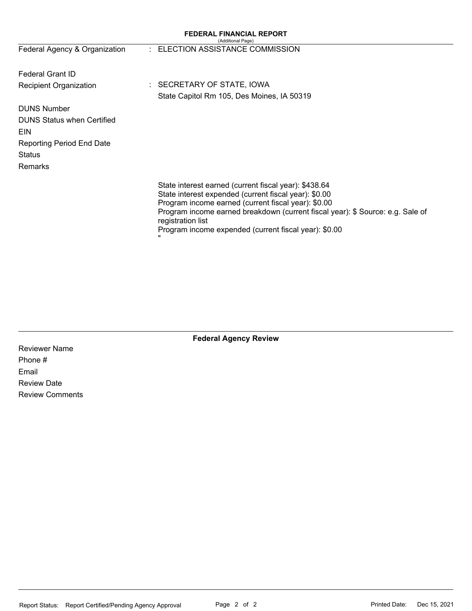|                                   | <b>FEDERAL FINANCIAL REPORT</b><br>(Additional Page)                                                                                                                                                                                                                                                                                       |
|-----------------------------------|--------------------------------------------------------------------------------------------------------------------------------------------------------------------------------------------------------------------------------------------------------------------------------------------------------------------------------------------|
| Federal Agency & Organization     | : ELECTION ASSISTANCE COMMISSION                                                                                                                                                                                                                                                                                                           |
| <b>Federal Grant ID</b>           |                                                                                                                                                                                                                                                                                                                                            |
| <b>Recipient Organization</b>     | : SECRETARY OF STATE, IOWA                                                                                                                                                                                                                                                                                                                 |
|                                   | State Capitol Rm 105, Des Moines, IA 50319                                                                                                                                                                                                                                                                                                 |
| <b>DUNS Number</b>                |                                                                                                                                                                                                                                                                                                                                            |
| <b>DUNS Status when Certified</b> |                                                                                                                                                                                                                                                                                                                                            |
| EIN                               |                                                                                                                                                                                                                                                                                                                                            |
| <b>Reporting Period End Date</b>  |                                                                                                                                                                                                                                                                                                                                            |
| <b>Status</b>                     |                                                                                                                                                                                                                                                                                                                                            |
| Remarks                           |                                                                                                                                                                                                                                                                                                                                            |
|                                   | State interest earned (current fiscal year): \$438.64<br>State interest expended (current fiscal year): \$0.00<br>Program income earned (current fiscal year): \$0.00<br>Program income earned breakdown (current fiscal year): \$ Source: e.g. Sale of<br>registration list<br>Program income expended (current fiscal year): \$0.00<br>" |

**Federal Agency Review**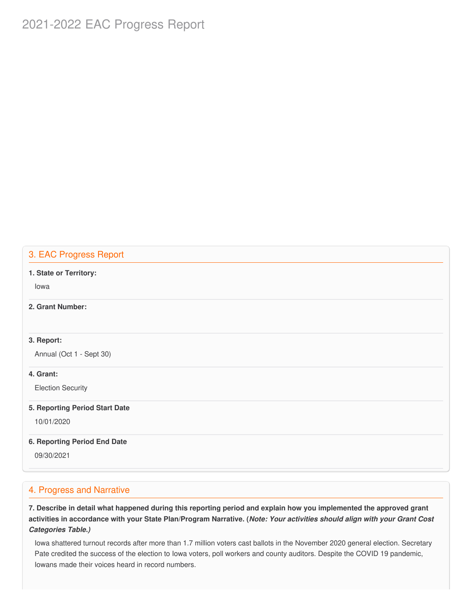# 2021-2022 EAC Progress Report

# 3. EAC Progress Report

#### **1. State or Territory:**

Iowa

### **2. Grant Number:**

#### **3. Report:**

Annual (Oct 1 - Sept 30)

#### **4. Grant:**

Election Security

#### **5. Reporting Period Start Date**

10/01/2020

#### **6. Reporting Period End Date**

09/30/2021

#### 4. Progress and Narrative

7. Describe in detail what happened during this reporting period and explain how you implemented the approved grant activities in accordance with your State Plan/Program Narrative. (*Note: Your activities should align with your Grant Cost Categories Table.)*

 Iowa shattered turnout records after more than 1.7 million voters cast ballots in the November 2020 general election. Secretary Pate credited the success of the election to Iowa voters, poll workers and county auditors. Despite the COVID 19 pandemic, Iowans made their voices heard in record numbers.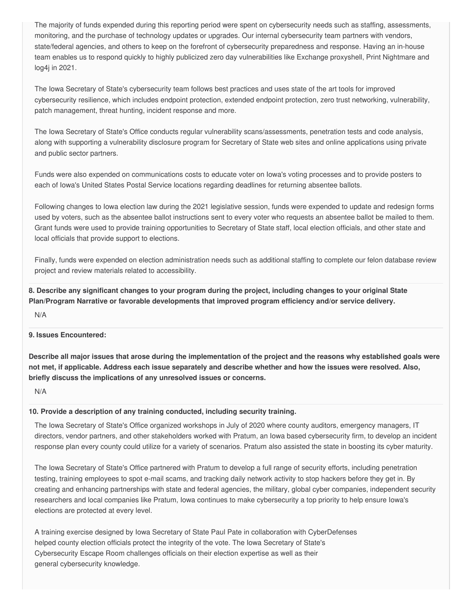The majority of funds expended during this reporting period were spent on cybersecurity needs such as staffing, assessments, monitoring, and the purchase of technology updates or upgrades. Our internal cybersecurity team partners with vendors, state/federal agencies, and others to keep on the forefront of cybersecurity preparedness and response. Having an in-house team enables us to respond quickly to highly publicized zero day vulnerabilities like Exchange proxyshell, Print Nightmare and log4j in 2021.

 The Iowa Secretary of State's cybersecurity team follows best practices and uses state of the art tools for improved cybersecurity resilience, which includes endpoint protection, extended endpoint protection, zero trust networking, vulnerability, patch management, threat hunting, incident response and more.

 The Iowa Secretary of State's Office conducts regular vulnerability scans/assessments, penetration tests and code analysis, along with supporting a vulnerability disclosure program for Secretary of State web sites and online applications using private and public sector partners.

 Funds were also expended on communications costs to educate voter on Iowa's voting processes and to provide posters to each of Iowa's United States Postal Service locations regarding deadlines for returning absentee ballots.

 Following changes to Iowa election law during the 2021 legislative session, funds were expended to update and redesign forms used by voters, such as the absentee ballot instructions sent to every voter who requests an absentee ballot be mailed to them. Grant funds were used to provide training opportunities to Secretary of State staff, local election officials, and other state and local officials that provide support to elections.

 Finally, funds were expended on election administration needs such as additional staffing to complete our felon database review project and review materials related to accessibility.

8. Describe any significant changes to your program during the project, including changes to your original State  **Plan/Program Narrative or favorable developments that improved program efficiency and/or service delivery.**

N/A

#### **9. Issues Encountered:**

Describe all major issues that arose during the implementation of the project and the reasons why established goals were not met, if applicable. Address each issue separately and describe whether and how the issues were resolved. Also,  **briefly discuss the implications of any unresolved issues or concerns.**

N/A

#### **10. Provide a description of any training conducted, including security training.**

 The Iowa Secretary of State's Office organized workshops in July of 2020 where county auditors, emergency managers, IT directors, vendor partners, and other stakeholders worked with Pratum, an Iowa based cybersecurity firm, to develop an incident response plan every county could utilize for a variety of scenarios. Pratum also assisted the state in boosting its cyber maturity.

 The Iowa Secretary of State's Office partnered with Pratum to develop a full range of security efforts, including penetration testing, training employees to spot e-mail scams, and tracking daily network activity to stop hackers before they get in. By creating and enhancing partnerships with state and federal agencies, the military, global cyber companies, independent security researchers and local companies like Pratum, Iowa continues to make cybersecurity a top priority to help ensure Iowa's elections are protected at every level.

 A training exercise designed by Iowa Secretary of State Paul Pate in collaboration with CyberDefenses helped county election officials protect the integrity of the vote. The Iowa Secretary of State's Cybersecurity Escape Room challenges officials on their election expertise as well as their general cybersecurity knowledge.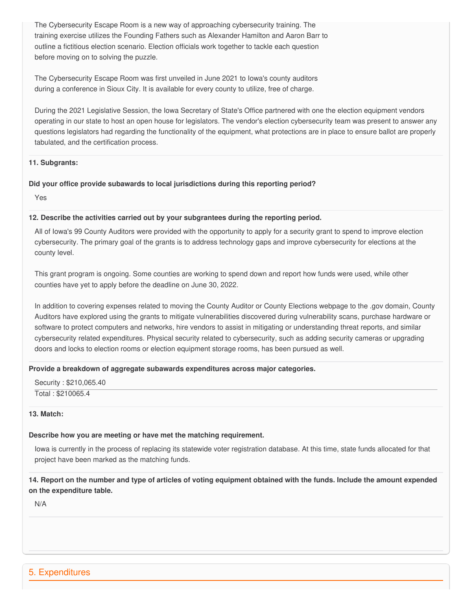The Cybersecurity Escape Room is a new way of approaching cybersecurity training. The training exercise utilizes the Founding Fathers such as Alexander Hamilton and Aaron Barr to outline a fictitious election scenario. Election officials work together to tackle each question before moving on to solving the puzzle.

 The Cybersecurity Escape Room was first unveiled in June 2021 to Iowa's county auditors during a conference in Sioux City. It is available for every county to utilize, free of charge.

 During the 2021 Legislative Session, the Iowa Secretary of State's Office partnered with one the election equipment vendors operating in our state to host an open house for legislators. The vendor's election cybersecurity team was present to answer any questions legislators had regarding the functionality of the equipment, what protections are in place to ensure ballot are properly tabulated, and the certification process.

#### **11. Subgrants:**

#### **Did your office provide subawards to local jurisdictions during this reporting period?**

Yes

#### **12. Describe the activities carried out by your subgrantees during the reporting period.**

 All of Iowa's 99 County Auditors were provided with the opportunity to apply for a security grant to spend to improve election cybersecurity. The primary goal of the grants is to address technology gaps and improve cybersecurity for elections at the county level.

 This grant program is ongoing. Some counties are working to spend down and report how funds were used, while other counties have yet to apply before the deadline on June 30, 2022.

 In addition to covering expenses related to moving the County Auditor or County Elections webpage to the .gov domain, County Auditors have explored using the grants to mitigate vulnerabilities discovered during vulnerability scans, purchase hardware or software to protect computers and networks, hire vendors to assist in mitigating or understanding threat reports, and similar cybersecurity related expenditures. Physical security related to cybersecurity, such as adding security cameras or upgrading doors and locks to election rooms or election equipment storage rooms, has been pursued as well.

#### **Provide a breakdown of aggregate subawards expenditures across major categories.**

 Security : \$[210,065.40](https://210,065.40) Total : \$210065.4

#### **13. Match:**

### **Describe how you are meeting or have met the matching requirement.**

 Iowa is currently in the process of replacing its statewide voter registration database. At this time, state funds allocated for that project have been marked as the matching funds.

14. Report on the number and type of articles of voting equipment obtained with the funds. Include the amount expended  **on the expenditure table.**

N/A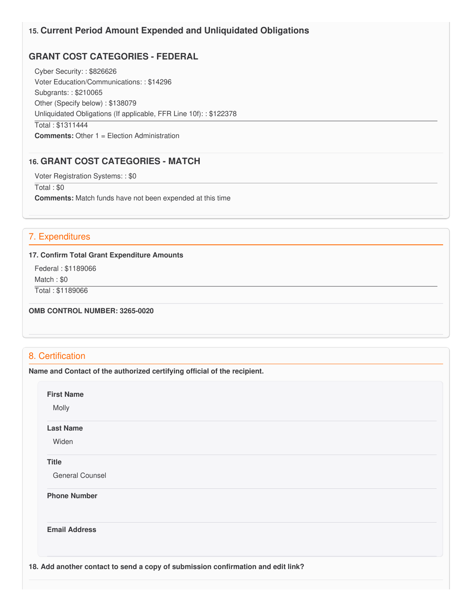## **15. Current Period Amount Expended and Unliquidated Obligations**

# **GRANT COST CATEGORIES - FEDERAL**

 Cyber Security: : \$826626 Voter Education/Communications: : \$14296 Subgrants: : \$210065 Other (Specify below) : \$138079 Unliquidated Obligations (If applicable, FFR Line 10f): : \$122378 Total : \$1311444 **Comments:** Other 1 = Election Administration

# **16. GRANT COST CATEGORIES - MATCH**

Voter Registration Systems: : \$0

Total : \$0

**Comments:** Match funds have not been expended at this time

# 7. Expenditures

#### **17. Confirm Total Grant Expenditure Amounts**

 Federal : \$1189066 Match : \$0

Total : \$1189066

 **OMB CONTROL NUMBER: 3265-0020**

### 8. Certification

 **Name and Contact of the authorized certifying official of the recipient.**

**First Name**

Molly

#### **Last Name**

Widen

#### **Title**

General Counsel

**Phone Number** 

**Email Address**

 **18. Add another contact to send a copy of submission confirmation and edit link?**